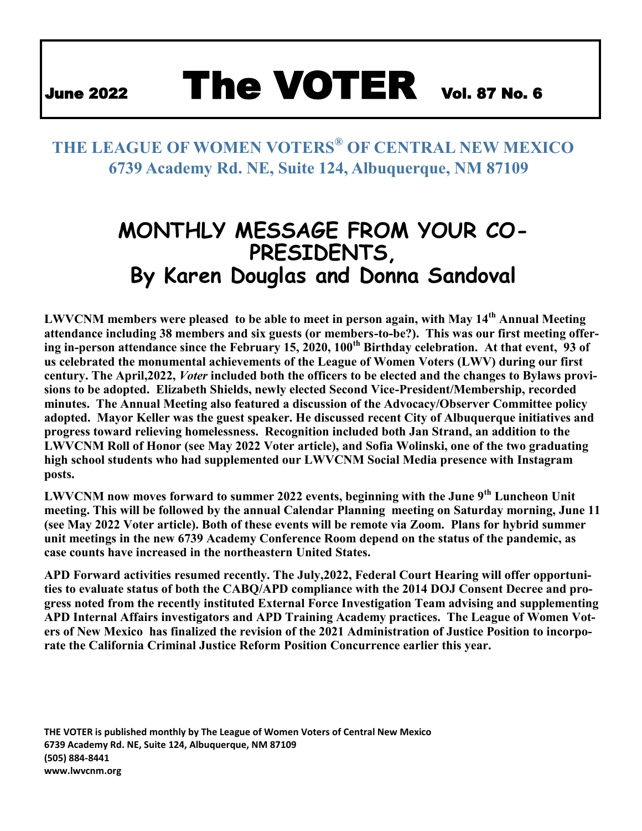# June 2022 The VOTER Vol. 87 No. 6

### **THE LEAGUE OF WOMEN VOTERS® OF CENTRAL NEW MEXICO 6739 Academy Rd. NE, Suite 124, Albuquerque, NM 87109**

# **MONTHLY MESSAGE FROM YOUR CO-PRESIDENTS, By Karen Douglas and Donna Sandoval**

**LWVCNM members were pleased to be able to meet in person again, with May 14th Annual Meeting attendance including 38 members and six guests (or members-to-be?). This was our first meeting offering in-person attendance since the February 15, 2020, 100th Birthday celebration. At that event, 93 of us celebrated the monumental achievements of the League of Women Voters (LWV) during our first century. The April,2022,** *Voter* **included both the officers to be elected and the changes to Bylaws provisions to be adopted. Elizabeth Shields, newly elected Second Vice-President/Membership, recorded minutes. The Annual Meeting also featured a discussion of the Advocacy/Observer Committee policy adopted. Mayor Keller was the guest speaker. He discussed recent City of Albuquerque initiatives and progress toward relieving homelessness. Recognition included both Jan Strand, an addition to the LWVCNM Roll of Honor (see May 2022 Voter article), and Sofia Wolinski, one of the two graduating high school students who had supplemented our LWVCNM Social Media presence with Instagram posts.**

**LWVCNM now moves forward to summer 2022 events, beginning with the June 9th Luncheon Unit meeting. This will be followed by the annual Calendar Planning meeting on Saturday morning, June 11 (see May 2022 Voter article). Both of these events will be remote via Zoom. Plans for hybrid summer unit meetings in the new 6739 Academy Conference Room depend on the status of the pandemic, as case counts have increased in the northeastern United States.**

**APD Forward activities resumed recently. The July,2022, Federal Court Hearing will offer opportunities to evaluate status of both the CABQ/APD compliance with the 2014 DOJ Consent Decree and progress noted from the recently instituted External Force Investigation Team advising and supplementing APD Internal Affairs investigators and APD Training Academy practices. The League of Women Voters of New Mexico has finalized the revision of the 2021 Administration of Justice Position to incorporate the California Criminal Justice Reform Position Concurrence earlier this year.**

**THE VOTER is published monthly by The League of Women Voters of Central New Mexico 6739 Academy Rd. NE, Suite 124, Albuquerque, NM 87109 (505) 884-8441 www.lwvcnm.org**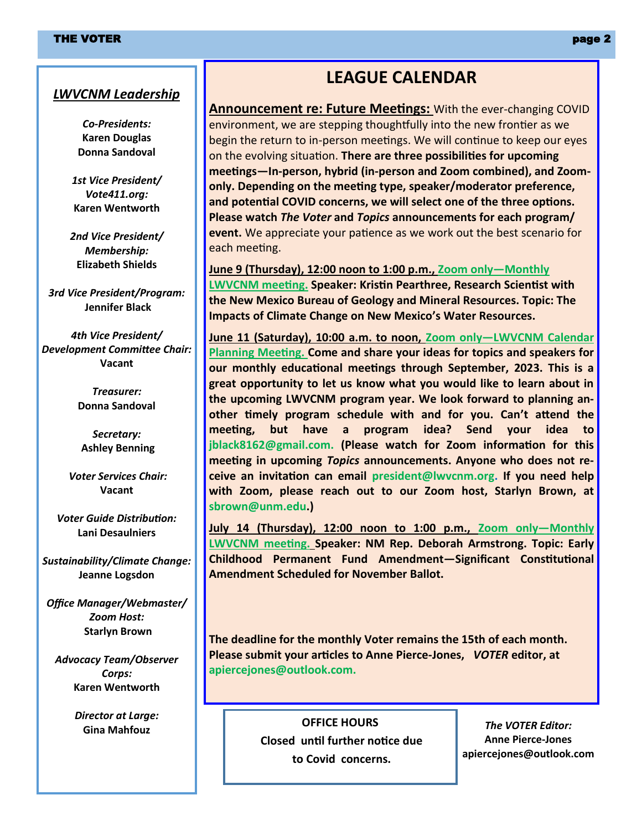#### *LWVCNM Leadership*

*Co-Presidents:* **Karen Douglas Donna Sandoval**

*1st Vice President/ Vote411.org:* **Karen Wentworth**

*2nd Vice President/ Membership:* **Elizabeth Shields**

*3rd Vice President/Program:* **Jennifer Black**

*4th Vice President/ Development Committee Chair:* **Vacant**

> *Treasurer:* **Donna Sandoval**

*Secretary:* **Ashley Benning**

*Voter Services Chair:* **Vacant**

*Voter Guide Distribution:* **Lani Desaulniers**

*Sustainability/Climate Change:* **Jeanne Logsdon**

*Office Manager/Webmaster/ Zoom Host:* **Starlyn Brown**

*Advocacy Team/Observer Corps:* **Karen Wentworth**

*Director at Large:*

#### **LEAGUE CALENDAR**

**Announcement re: Future Meetings:** With the ever-changing COVID environment, we are stepping thoughtfully into the new frontier as we begin the return to in-person meetings. We will continue to keep our eyes on the evolving situation. **There are three possibilities for upcoming meetings—In-person, hybrid (in-person and Zoom combined), and Zoomonly. Depending on the meeting type, speaker/moderator preference, and potential COVID concerns, we will select one of the three options. Please watch** *The Voter* **and** *Topics* **announcements for each program/ event.** We appreciate your patience as we work out the best scenario for each meeting.

**June 9 (Thursday), 12:00 noon to 1:00 p.m., Zoom only—Monthly LWVCNM meeting. Speaker: Kristin Pearthree, Research Scientist with the New Mexico Bureau of Geology and Mineral Resources. Topic: The Impacts of Climate Change on New Mexico's Water Resources.** 

**June 11 (Saturday), 10:00 a.m. to noon, Zoom only—LWVCNM Calendar Planning Meeting. Come and share your ideas for topics and speakers for our monthly educational meetings through September, 2023. This is a great opportunity to let us know what you would like to learn about in the upcoming LWVCNM program year. We look forward to planning another timely program schedule with and for you. Can't attend the meeting, but have a program idea? Send your idea to jblack8162@gmail.com. (Please watch for Zoom information for this meeting in upcoming** *Topics* **announcements. Anyone who does not receive an invitation can email president@lwvcnm.org. If you need help with Zoom, please reach out to our Zoom host, Starlyn Brown, at sbrown@unm.edu.)**

**July 14 (Thursday), 12:00 noon to 1:00 p.m., Zoom only—Monthly LWVCNM meeting. Speaker: NM Rep. Deborah Armstrong. Topic: Early Childhood Permanent Fund Amendment—Significant Constitutional Amendment Scheduled for November Ballot.**

**The deadline for the monthly Voter remains the 15th of each month. Please submit your articles to Anne Pierce-Jones,** *VOTER* **editor, at apiercejones@outlook.com.**

**Gina Mahfouz OFFICE HOURS Closed until further notice due to Covid concerns.**

*The VOTER Editor:* **Anne Pierce-Jones apiercejones@outlook.com**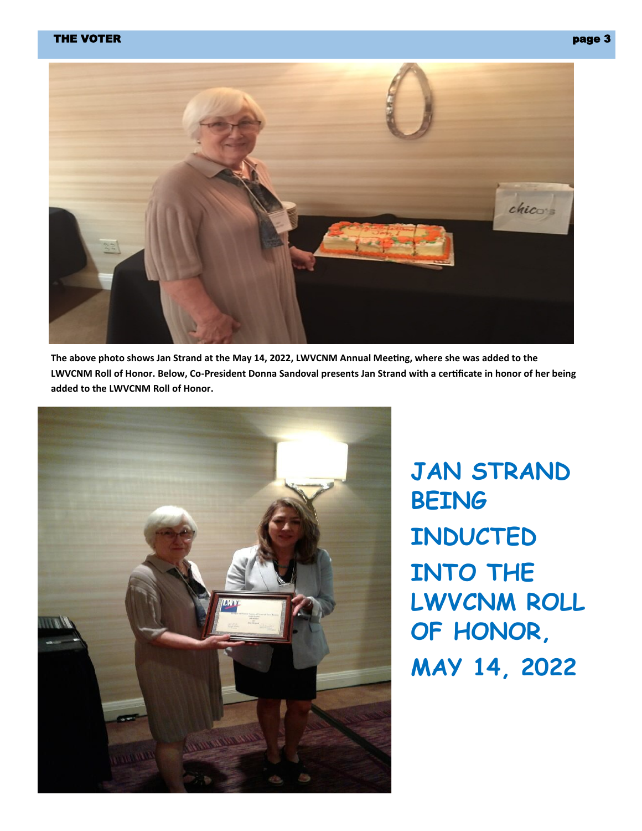#### THE VOTER page 3 and 20 page 3 and 20 page 3 page 3 and 20 page 3 page 3 page 3 page 3



**The above photo shows Jan Strand at the May 14, 2022, LWVCNM Annual Meeting, where she was added to the LWVCNM Roll of Honor. Below, Co-President Donna Sandoval presents Jan Strand with a certificate in honor of her being added to the LWVCNM Roll of Honor.**



**JAN STRAND BEING INDUCTED INTO THE LWVCNM ROLL OF HONOR, MAY 14, 2022**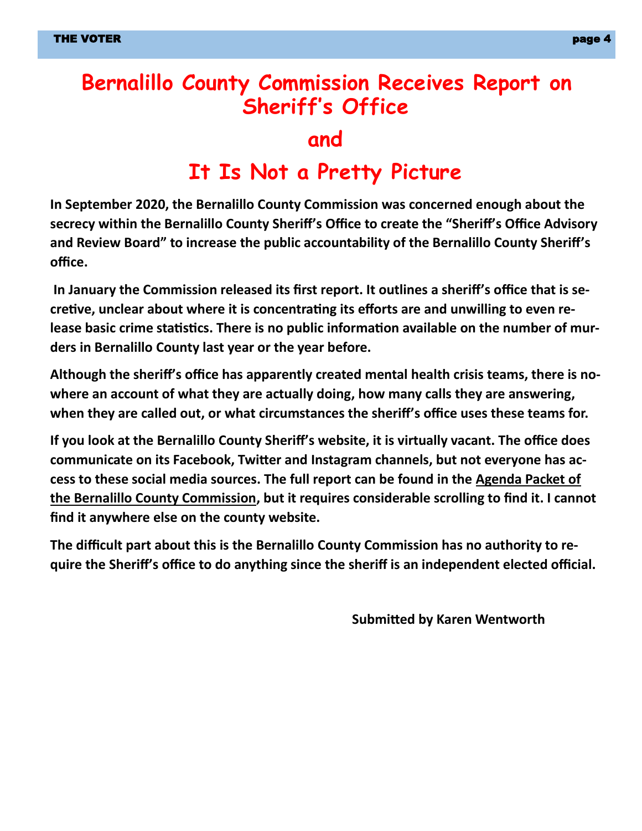## **Bernalillo County Commission Receives Report on Sheriff's Office**

#### **and**

# **It Is Not a Pretty Picture**

**In September 2020, the Bernalillo County Commission was concerned enough about the secrecy within the Bernalillo County Sheriff's Office to create the "Sheriff's Office Advisory and Review Board" to increase the public accountability of the Bernalillo County Sheriff's office.**

**In January the Commission released its first report. It outlines a sheriff's office that is secretive, unclear about where it is concentrating its efforts are and unwilling to even release basic crime statistics. There is no public information available on the number of murders in Bernalillo County last year or the year before.** 

**Although the sheriff's office has apparently created mental health crisis teams, there is nowhere an account of what they are actually doing, how many calls they are answering, when they are called out, or what circumstances the sheriff's office uses these teams for.** 

**If you look at the Bernalillo County Sheriff's website, it is virtually vacant. The office does communicate on its Facebook, Twitter and Instagram channels, but not everyone has access to these social media sources. The full report can be found in the Agenda Packet of the Bernalillo County Commission, but it requires considerable scrolling to find it. I cannot find it anywhere else on the county website.** 

**The difficult part about this is the Bernalillo County Commission has no authority to require the Sheriff's office to do anything since the sheriff is an independent elected official.** 

**Submitted by Karen Wentworth**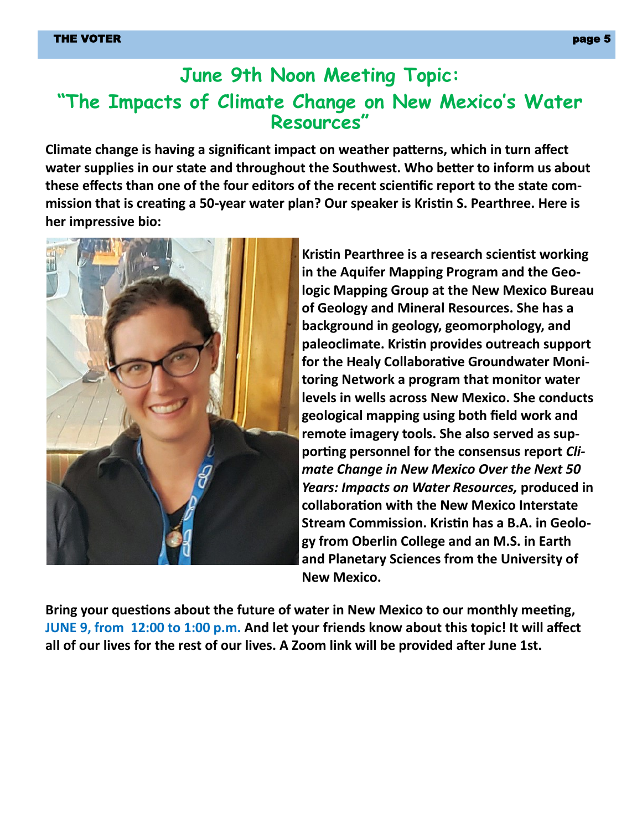### **June 9th Noon Meeting Topic: "The Impacts of Climate Change on New Mexico's Water Resources"**

**Climate change is having a significant impact on weather patterns, which in turn affect water supplies in our state and throughout the Southwest. Who better to inform us about these effects than one of the four editors of the recent scientific report to the state commission that is creating a 50-year water plan? Our speaker is Kristin S. Pearthree. Here is her impressive bio:**



**Kristin Pearthree is a research scientist working in the Aquifer Mapping Program and the Geologic Mapping Group at the New Mexico Bureau of Geology and Mineral Resources. She has a background in geology, geomorphology, and paleoclimate. Kristin provides outreach support for the Healy Collaborative Groundwater Monitoring Network a program that monitor water levels in wells across New Mexico. She conducts geological mapping using both field work and remote imagery tools. She also served as supporting personnel for the consensus report** *Climate Change in New Mexico Over the Next 50 Years: Impacts on Water Resources,* **produced in collaboration with the New Mexico Interstate Stream Commission. Kristin has a B.A. in Geology from Oberlin College and an M.S. in Earth and Planetary Sciences from the University of New Mexico.**

**Bring your questions about the future of water in New Mexico to our monthly meeting, JUNE 9, from 12:00 to 1:00 p.m. And let your friends know about this topic! It will affect all of our lives for the rest of our lives. A Zoom link will be provided after June 1st.**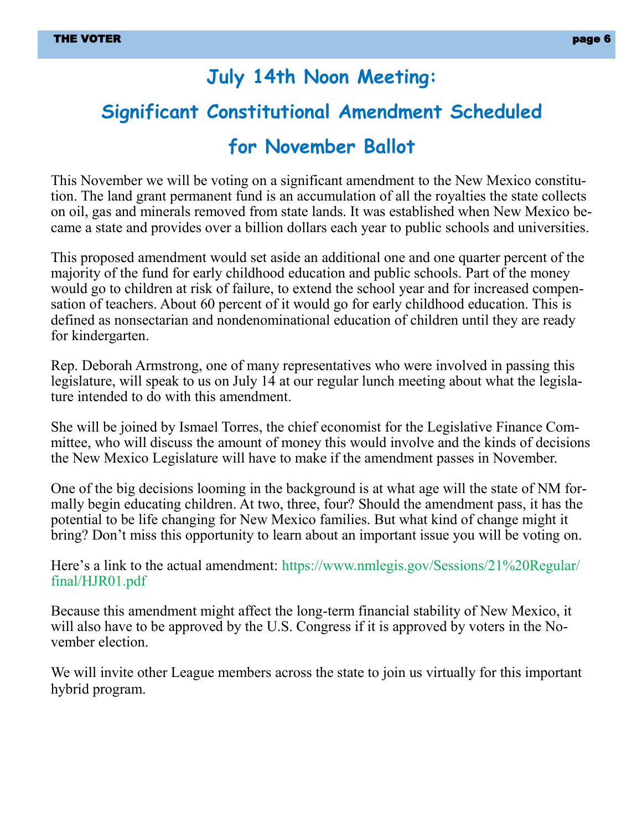#### **July 14th Noon Meeting:**

# **Significant Constitutional Amendment Scheduled**

#### **for November Ballot**

This November we will be voting on a significant amendment to the New Mexico constitution. The land grant permanent fund is an accumulation of all the royalties the state collects on oil, gas and minerals removed from state lands. It was established when New Mexico became a state and provides over a billion dollars each year to public schools and universities.

This proposed amendment would set aside an additional one and one quarter percent of the majority of the fund for early childhood education and public schools. Part of the money would go to children at risk of failure, to extend the school year and for increased compensation of teachers. About 60 percent of it would go for early childhood education. This is defined as nonsectarian and nondenominational education of children until they are ready for kindergarten.

Rep. Deborah Armstrong, one of many representatives who were involved in passing this legislature, will speak to us on July 14 at our regular lunch meeting about what the legislature intended to do with this amendment.

She will be joined by Ismael Torres, the chief economist for the Legislative Finance Committee, who will discuss the amount of money this would involve and the kinds of decisions the New Mexico Legislature will have to make if the amendment passes in November.

One of the big decisions looming in the background is at what age will the state of NM formally begin educating children. At two, three, four? Should the amendment pass, it has the potential to be life changing for New Mexico families. But what kind of change might it bring? Don't miss this opportunity to learn about an important issue you will be voting on.

Here's a link to the actual amendment: https://www.nmlegis.gov/Sessions/21%20Regular/ final/HJR01.pdf

Because this amendment might affect the long-term financial stability of New Mexico, it will also have to be approved by the U.S. Congress if it is approved by voters in the November election.

We will invite other League members across the state to join us virtually for this important hybrid program.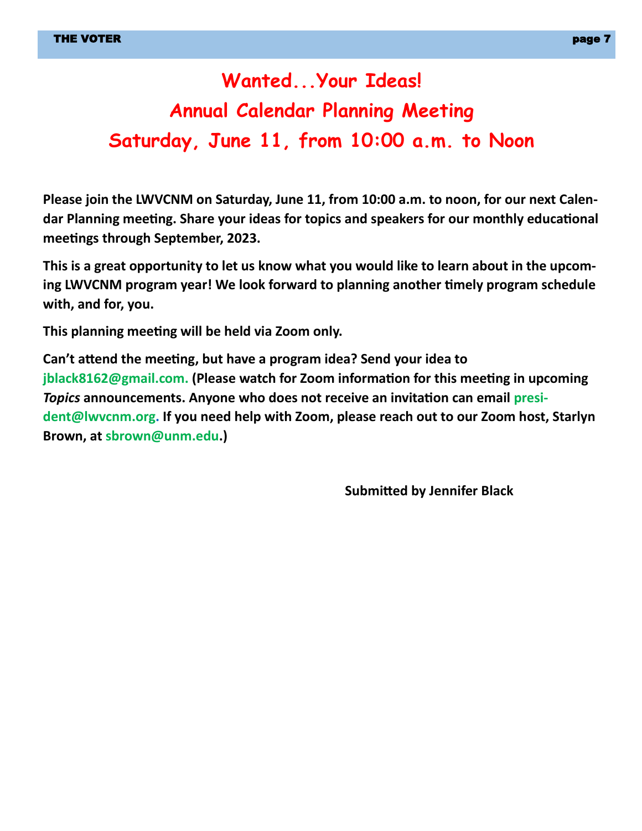# **Wanted...Your Ideas! Annual Calendar Planning Meeting Saturday, June 11, from 10:00 a.m. to Noon**

**Please join the LWVCNM on Saturday, June 11, from 10:00 a.m. to noon, for our next Calendar Planning meeting. Share your ideas for topics and speakers for our monthly educational meetings through September, 2023.** 

**This is a great opportunity to let us know what you would like to learn about in the upcoming LWVCNM program year! We look forward to planning another timely program schedule with, and for, you.**

**This planning meeting will be held via Zoom only.**

**Can't attend the meeting, but have a program idea? Send your idea to jblack8162@gmail.com. (Please watch for Zoom information for this meeting in upcoming**  *Topics* **announcements. Anyone who does not receive an invitation can email president@lwvcnm.org. If you need help with Zoom, please reach out to our Zoom host, Starlyn Brown, at sbrown@unm.edu.)**

**Submitted by Jennifer Black**